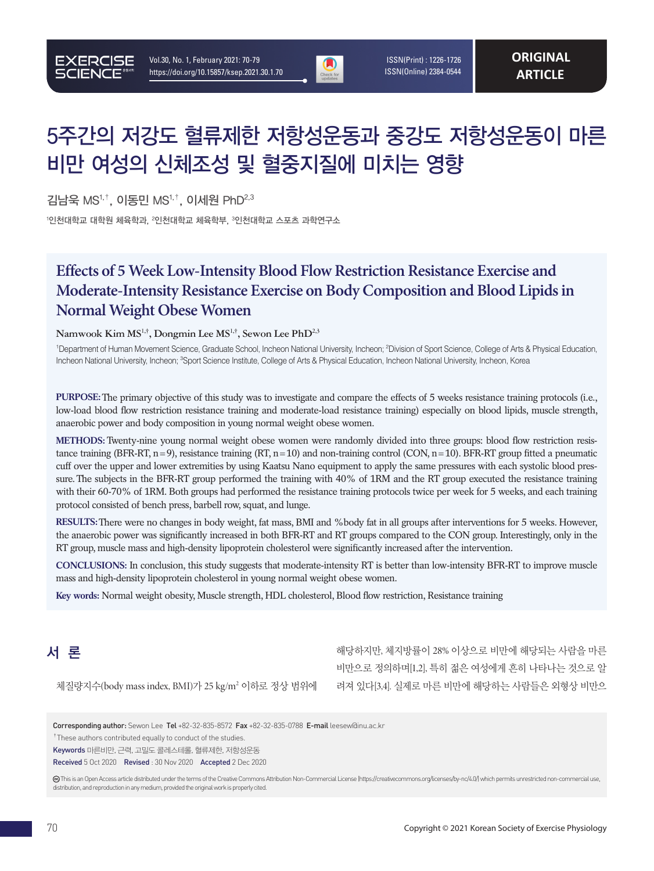

 ISSN(Print) : 1226-1726 ISSN(Online) 2384-0544

# 5주간의 저강도 혈류제한 저항성운동과 중강도 저항성운동이 마른 비만 여성의 신체조성 및 혈중지질에 미치는 영향

김남욱 MS1,†, 이동민 MS1,†, 이세원 PhD2,3

 $^{\rm 1}$ 인천대학교 대학교 체육학부,  $^{\rm 3}$ 인천대학교 스포츠 과학연구소

# **Effects of 5 Week Low-Intensity Blood Flow Restriction Resistance Exercise and Moderate-Intensity Resistance Exercise on Body Composition and Blood Lipids in Normal Weight Obese Women**

#### **Namwook Kim MS1,†, Dongmin Lee MS1,†, Sewon Lee PhD2,3**

<sup>1</sup>Department of Human Movement Science, Graduate School, Incheon National University, Incheon; <sup>2</sup>Division of Sport Science, College of Arts & Physical Education, Incheon National University, Incheon; <sup>3</sup>Sport Science Institute, College of Arts & Physical Education, Incheon National University, Incheon, Korea

**PURPOSE:**The primary objective of this study was to investigate and compare the effects of 5 weeks resistance training protocols (i.e., low-load blood flow restriction resistance training and moderate-load resistance training) especially on blood lipids, muscle strength, anaerobic power and body composition in young normal weight obese women.

**METHODS:** Twenty-nine young normal weight obese women were randomly divided into three groups: blood flow restriction resistance training (BFR-RT, n=9), resistance training (RT, n=10) and non-training control (CON, n=10). BFR-RT group fitted a pneumatic cuff over the upper and lower extremities by using Kaatsu Nano equipment to apply the same pressures with each systolic blood pressure. The subjects in the BFR-RT group performed the training with 40% of 1RM and the RT group executed the resistance training with their 60-70% of 1RM. Both groups had performed the resistance training protocols twice per week for 5 weeks, and each training protocol consisted of bench press, barbell row, squat, and lunge.

**RESULTS:**There were no changes in body weight, fat mass, BMI and %body fat in all groups after interventions for 5 weeks. However, the anaerobic power was significantly increased in both BFR-RT and RT groups compared to the CON group. Interestingly, only in the RT group, muscle mass and high-density lipoprotein cholesterol were significantly increased after the intervention.

**CONCLUSIONS:** In conclusion, this study suggests that moderate-intensity RT is better than low-intensity BFR-RT to improve muscle mass and high-density lipoprotein cholesterol in young normal weight obese women.

**Key words:** Normal weight obesity, Muscle strength, HDL cholesterol, Blood flow restriction, Resistance training

# 서 론

체질량지수(body mass index, BMI)가 25 kg/m2 이하로 정상 범위에

해당하지만, 체지방률이 28% 이상으로 비만에 해당되는 사람을 마른 비만으로 정의하며[1,2], 특히 젊은 여성에게 흔히 나타나는 것으로 알 려져 있다[3,4]. 실제로 마른 비만에 해당하는 사람들은 외형상 비만으

Corresponding author: Sewon Lee Tel +82-32-835-8572 Fax +82-32-835-0788 E-mail leesew@inu.ac.kr

<sup>†</sup>These authors contributed equally to conduct of the studies.

Keywords 마른비만, 근력, 고밀도 콜레스테롤, 혈류제한, 저항성운동

Received 5 Oct 2020 Revised : 30 Nov 2020 Accepted 2 Dec 2020

 This is an Open Access article distributed under the terms of the Creative Commons Attribution Non-Commercial License (https://creativecommons.org/licenses/by-nc/4.0/) which permits unrestricted non-commercial use, distribution, and reproduction in any medium, provided the original work is properly cited.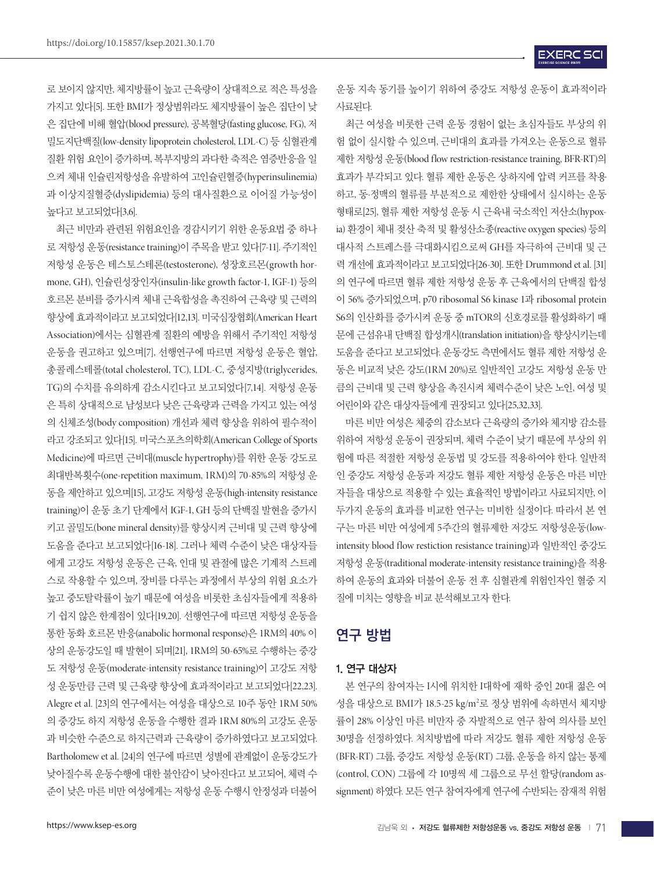로 보이지 않지만, 체지방률이 높고 근육량이 상대적으로 적은 특성을 가지고 있다[5]. 또한 BMI가 정상범위라도 체지방률이 높은 집단이 낮 은 집단에 비해 혈압(blood pressure), 공복혈당(fasting glucose, FG), 저 밀도지단백질(low-density lipoprotein cholesterol, LDL-C) 등 심혈관계 질환 위험 요인이 증가하며, 복부지방의 과다한 축적은 염증반응을 일 으켜 체내 인슐린저항성을 유발하여 고인슐린혈증(hyperinsulinemia) 과 이상지질혈증(dyslipidemia) 등의 대사질환으로 이어질 가능성이 높다고 보고되었다[3,6].

최근 비만과 관련된 위험요인을 경감시키기 위한 운동요법 중 하나 로 저항성 운동(resistance training)이 주목을 받고 있다[7-11]. 주기적인 저항성 운동은 테스토스테론(testosterone), 성장호르몬(growth hormone, GH), 인슐린성장인자(insulin-like growth factor-1, IGF-1) 등의 호르몬 분비를 증가시켜 체내 근육합성을 촉진하여 근육량 및 근력의 향상에 효과적이라고 보고되었다[12,13]. 미국심장협회(American Heart Association)에서는 심혈관계 질환의 예방을 위해서 주기적인 저항성 운동을 권고하고 있으며[7], 선행연구에 따르면 저항성 운동은 혈압, 총콜레스테롤(total cholesterol, TC), LDL-C, 중성지방(triglycerides, TG)의 수치를 유의하게 감소시킨다고 보고되었다[7,14]. 저항성 운동 은 특히 상대적으로 남성보다 낮은 근육량과 근력을 가지고 있는 여성 의 신체조성(body composition) 개선과 체력 향상을 위하여 필수적이 라고 강조되고 있다[15]. 미국스포츠의학회(American College of Sports Medicine)에 따르면 근비대(muscle hypertrophy)를 위한 운동 강도로 최대반복횟수(one-repetition maximum, 1RM)의 70-85%의 저항성 운 동을 제안하고 있으며[15], 고강도 저항성 운동(high-intensity resistance training)이 운동 초기 단계에서 IGF-1, GH 등의 단백질 발현을 증가시 키고 골밀도(bone mineral density)를 향상시켜 근비대 및 근력 향상에 도움을 준다고 보고되었다[16-18]. 그러나 체력 수준이 낮은 대상자들 에게 고강도 저항성 운동은 근육, 인대 및 관절에 많은 기계적 스트레 스로 작용할 수 있으며, 장비를 다루는 과정에서 부상의 위험 요소가 높고 중도탈락률이 높기 때문에 여성을 비롯한 초심자들에게 적용하 기 쉽지 않은 한계점이 있다[19,20]. 선행연구에 따르면 저항성 운동을 통한 동화 호르몬 반응(anabolic hormonal response)은 1RM의 40% 이 상의 운동강도일 때 발현이 되며[21], 1RM의 50-65%로 수행하는 중강 도 저항성 운동(moderate-intensity resistance training)이 고강도 저항 성 운동만큼 근력 및 근육량 향상에 효과적이라고 보고되었다[22,23]. Alegre et al. [23]의 연구에서는 여성을 대상으로 10주 동안 1RM 50% 의 중강도 하지 저항성 운동을 수행한 결과 1RM 80%의 고강도 운동 과 비슷한 수준으로 하지근력과 근육량이 증가하였다고 보고되었다. Bartholomew et al. [24]의 연구에 따르면 성별에 관계없이 운동강도가 낮아질수록 운동수행에 대한 불안감이 낮아진다고 보고되어, 체력 수 준이 낮은 마른 비만 여성에게는 저항성 운동 수행시 안정성과 더불어

운동 지속 동기를 높이기 위하여 중강도 저항성 운동이 효과적이라 사료된다.

최근 여성을 비롯한 근력 운동 경험이 없는 초심자들도 부상의 위 험 없이 실시할 수 있으며, 근비대의 효과를 가져오는 운동으로 혈류 제한 저항성 운동(blood flow restriction-resistance training, BFR-RT)의 효과가 부각되고 있다. 혈류 제한 운동은 상·하지에 압력 커프를 착용 하고, 동·정맥의 혈류를 부분적으로 제한한 상태에서 실시하는 운동 형태로[25], 혈류 제한 저항성 운동 시 근육내 국소적인 저산소(hypoxia) 환경이 체내 젖산 축적 및 활성산소종(reactive oxygen species) 등의 대사적 스트레스를 극대화시킴으로써 GH를 자극하여 근비대 및 근 력 개선에 효과적이라고 보고되었다[26-30]. 또한 Drummond et al. [31] 의 연구에 따르면 혈류 제한 저항성 운동 후 근육에서의 단백질 합성 이 56% 증가되었으며, p70 ribosomal S6 kinase 1과 ribosomal protein S6의 인산화를 증가시켜 운동 중 mTOR의 신호경로를 활성화하기 때 문에 근섬유내 단백질 합성개시(translation initiation)을 향상시키는데 도움을 준다고 보고되었다. 운동강도 측면에서도 혈류 제한 저항성 운 동은 비교적 낮은 강도(1RM 20%)로 일반적인 고강도 저항성 운동 만 큼의 근비대 및 근력 향상을 촉진시켜 체력수준이 낮은 노인, 여성 및 어린이와 같은 대상자들에게 권장되고 있다[25,32,33].

마른 비만 여성은 체중의 감소보다 근육량의 증가와 체지방 감소를 위하여 저항성 운동이 권장되며, 체력 수준이 낮기 때문에 부상의 위 험에 따른 적절한 저항성 운동법 및 강도를 적용하여야 한다. 일반적 인 중강도 저항성 운동과 저강도 혈류 제한 저항성 운동은 마른 비만 자들을 대상으로 적용할 수 있는 효율적인 방법이라고 사료되지만, 이 두가지 운동의 효과를 비교한 연구는 미비한 실정이다. 따라서 본 연 구는 마른 비만 여성에게 5주간의 혈류제한 저강도 저항성운동(lowintensity blood flow restiction resistance training)과 일반적인 중강도 저항성 운동(traditional moderate-intensity resistance training)을 적용 하여 운동의 효과와 더불어 운동 전 후 심혈관계 위험인자인 혈중 지 질에 미치는 영향을 비교 분석해보고자 한다.

# 연구 방법

### 1. 연구 대상자

본 연구의 참여자는 I시에 위치한 I대학에 재학 중인 20대 젊은 여 성을 대상으로 BMI가 18.5-25 kg/m<sup>2</sup>로 정상 범위에 속하면서 체지방 률이 28% 이상인 마른 비만자 중 자발적으로 연구 참여 의사를 보인 30명을 선정하였다. 처치방법에 따라 저강도 혈류 제한 저항성 운동 (BFR-RT) 그룹, 중강도 저항성 운동(RT) 그룹, 운동을 하지 않는 통제 (control, CON) 그룹에 각 10명씩 세 그룹으로 무선 할당(random assignment) 하였다. 모든 연구 참여자에게 연구에 수반되는 잠재적 위험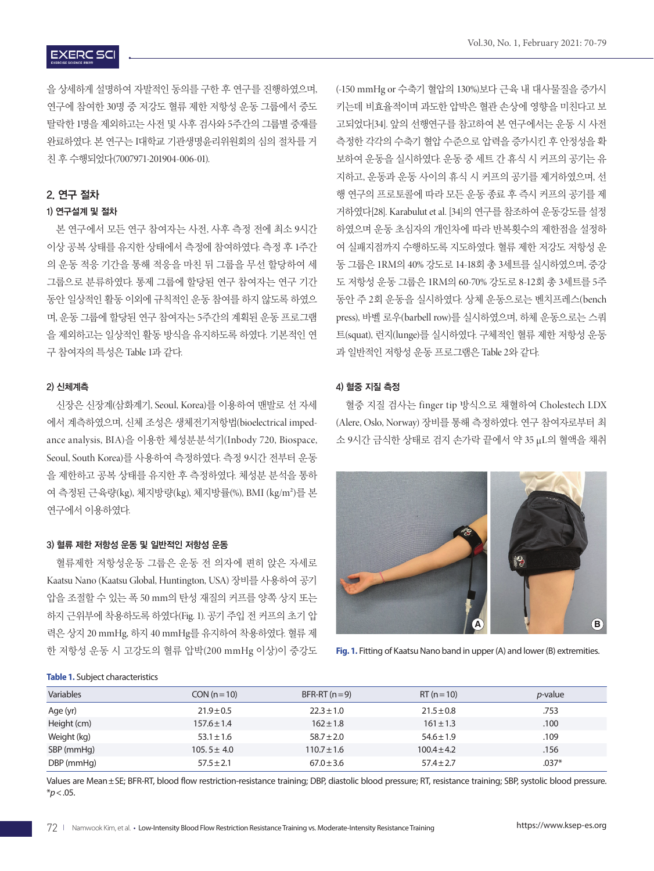을 상세하게 설명하여 자발적인 동의를 구한 후 연구를 진행하였으며, 연구에 참여한 30명 중 저강도 혈류 제한 저항성 운동 그룹에서 중도 탈락한 1명을 제외하고는 사전 및 사후 검사와 5주간의 그룹별 중재를 완료하였다. 본 연구는 I대학교 기관생명윤리위원회의 심의 절차를 거 친 후 수행되었다(7007971-201904-006-01).

#### 2. 연구 절차

#### 1) 연구설계 및 절차

본 연구에서 모든 연구 참여자는 사전, 사후 측정 전에 최소 9시간 이상 공복 상태를 유지한 상태에서 측정에 참여하였다. 측정 후 1주간 의 운동 적응 기간을 통해 적응을 마친 뒤 그룹을 무선 할당하여 세 그룹으로 분류하였다. 통제 그룹에 할당된 연구 참여자는 연구 기간 동안 일상적인 활동 이외에 규칙적인 운동 참여를 하지 않도록 하였으 며, 운동 그룹에 할당된 연구 참여자는 5주간의 계획된 운동 프로그램 을 제외하고는 일상적인 활동 방식을 유지하도록 하였다. 기본적인 연 구 참여자의 특성은 Table 1과 같다.

#### 2) 신체계측

신장은 신장계(삼화계기, Seoul, Korea)를 이용하여 맨발로 선 자세 에서 계측하였으며, 신체 조성은 생체전기저항법(bioelectrical impedance analysis, BIA)을 이용한 체성분분석기(Inbody 720, Biospace, Seoul, South Korea)를 사용하여 측정하였다. 측정 9시간 전부터 운동 을 제한하고 공복 상태를 유지한 후 측정하였다. 체성분 분석을 통하 여 측정된 근육량(kg), 체지방량(kg), 체지방률(%), BMI (kg/m²)를 본 연구에서 이용하였다.

#### 3) 혈류 제한 저항성 운동 및 일반적인 저항성 운동

혈류제한 저항성운동 그룹은 운동 전 의자에 편히 앉은 자세로 Kaatsu Nano (Kaatsu Global, Huntington, USA) 장비를 사용하여 공기 압을 조절할 수 있는 폭 50 mm의 탄성 재질의 커프를 양쪽 상지 또는 하지 근위부에 착용하도록 하였다(Fig. 1). 공기 주입 전 커프의 초기 압 력은 상지 20 mmHg, 하지 40 mmHg를 유지하여 착용하였다. 혈류 제 한 저항성 운동 시 고강도의 혈류 압박(200 mmHg 이상)이 중강도 (-150 mmHg or 수축기 혈압의 130%)보다 근육 내 대사물질을 증가시 키는데 비효율적이며 과도한 압박은 혈관 손상에 영향을 미친다고 보 고되었다[34]. 앞의 선행연구를 참고하여 본 연구에서는 운동 시 사전 측정한 각각의 수축기 혈압 수준으로 압력을 증가시킨 후 안정성을 확 보하여 운동을 실시하였다. 운동 중 세트 간 휴식 시 커프의 공기는 유 지하고, 운동과 운동 사이의 휴식 시 커프의 공기를 제거하였으며, 선 행 연구의 프로토콜에 따라 모든 운동 종료 후 즉시 커프의 공기를 제 거하였다[28]. Karabulut et al. [34]의 연구를 참조하여 운동강도를 설정 하였으며 운동 초심자의 개인차에 따라 반복횟수의 제한점을 설정하 여 실패지점까지 수행하도록 지도하였다. 혈류 제한 저강도 저항성 운 동 그룹은 1RM의 40% 강도로 14-18회 총 3세트를 실시하였으며, 중강 도 저항성 운동 그룹은 1RM의 60-70% 강도로 8-12회 총 3세트를 5주 동안 주 2회 운동을 실시하였다. 상체 운동으로는 벤치프레스(bench press), 바벨 로우(barbell row)를 실시하였으며, 하체 운동으로는 스쿼 트(squat), 런지(lunge)를 실시하였다. 구체적인 혈류 제한 저항성 운동 과 일반적인 저항성 운동 프로그램은 Table 2와 같다.

#### 4) 혈중 지질 측정

혈중 지질 검사는 finger tip 방식으로 채혈하여 Cholestech LDX (Alere, Oslo, Norway) 장비를 통해 측정하였다. 연구 참여자로부터 최 소 9시간 금식한 상태로 검지 손가락 끝에서 약 35 μL의 혈액을 채취



**Fig. 1.** Fitting of Kaatsu Nano band in upper (A) and lower (B) extremities.

#### **Table 1.** Subject characteristics

| Variables   | $CON (n=10)$    | $BFR-RT(n=9)$   | $RT(n=10)$      | <i>p</i> -value |
|-------------|-----------------|-----------------|-----------------|-----------------|
| Age (yr)    | $21.9 \pm 0.5$  | $22.3 \pm 1.0$  | $21.5 \pm 0.8$  | .753            |
| Height (cm) | $157.6 \pm 1.4$ | $162 \pm 1.8$   | $161 \pm 1.3$   | .100            |
| Weight (kg) | $53.1 \pm 1.6$  | $58.7 \pm 2.0$  | $54.6 \pm 1.9$  | .109            |
| SBP (mmHg)  | $105.5 \pm 4.0$ | $110.7 \pm 1.6$ | $100.4 \pm 4.2$ | .156            |
| DBP (mmHg)  | $57.5 \pm 2.1$  | $67.0 \pm 3.6$  | $57.4 \pm 2.7$  | $.037*$         |

Values are Mean±SE; BFR-RT, blood flow restriction-resistance training; DBP, diastolic blood pressure; RT, resistance training; SBP, systolic blood pressure. \**p*<.05.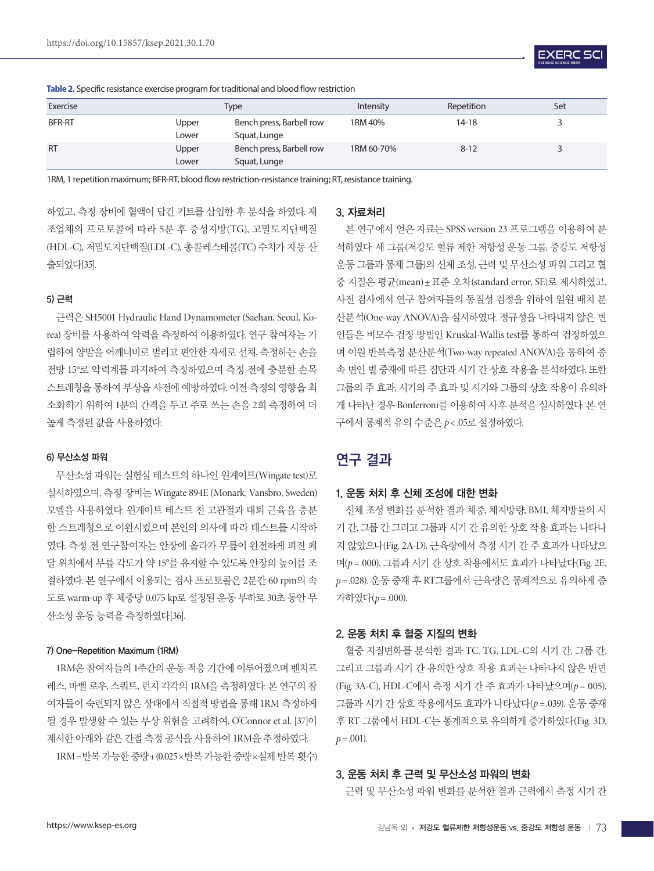

| Exercise      |                | <b>Type</b>                              | Intensity  | Repetition | Set |
|---------------|----------------|------------------------------------------|------------|------------|-----|
| <b>BFR-RT</b> | Upper<br>Lower | Bench press, Barbell row<br>Squat, Lunge | 1RM 40%    | 14-18      |     |
| <b>RT</b>     | Upper<br>Lower | Bench press, Barbell row<br>Squat, Lunge | 1RM 60-70% | $8 - 12$   |     |

**Table 2.** Specific resistance exercise program for traditional and blood flow restriction

1RM, 1 repetition maximum; BFR-RT, blood flow restriction-resistance training; RT, resistance training.

하였고, 측정 장비에 혈액이 담긴 키트를 삽입한 후 분석을 하였다. 제 조업체의 프로토콜에 따라 5분 후 중성지방(TG), 고밀도지단백질 (HDL-C), 저밀도지단백질(LDL-C), 총콜레스테롤(TC) 수치가 자동 산 출되었다[35].

#### 5) 근력

근력은 SH5001 Hydraulic Hand Dynamometer (Saehan, Seoul, Korea) 장비를 사용하여 악력을 측정하여 이용하였다. 연구 참여자는 기 립하여 양발을 어깨너비로 벌리고 편안한 자세로 선채, 측정하는 손을 전방 15°로 악력계를 파지하여 측정하였으며 측정 전에 충분한 손목 스트레칭을 통하여 부상을 사전에 예방하였다. 이전 측정의 영향을 최 소화하기 위하여 1분의 간격을 두고 주로 쓰는 손을 2회 측정하여 더 높게 측정된 값을 사용하였다.

#### 6) 무산소성 파워

무산소성 파워는 실험실 테스트의 하나인 윈게이트(Wingate test)로 실시하였으며, 측정 장비는 Wingate 894E (Monark, Vansbro, Sweden) 모델을 사용하였다. 윈게이트 테스트 전 고관절과 대퇴 근육을 충분 한 스트레칭으로 이완시켰으며 본인의 의사에 따라 테스트를 시작하 였다. 측정 전 연구참여자는 안장에 올라가 무릎이 완전하게 펴진 페 달 위치에서 무릎 각도가 약 15°를 유지할 수 있도록 안장의 높이를 조 절하였다. 본 연구에서 이용되는 검사 프로토콜은 2분간 60 rpm의 속 도로 warm-up 후 체중당 0.075 kp로 설정된 운동 부하로 30초 동안 무 산소성 운동 능력을 측정하였다[36].

#### 7) One-Repetition Maximum (1RM)

1RM은 참여자들의 1주간의 운동 적응 기간에 이루어졌으며 벤치프 레스, 바벨 로우, 스쿼트, 런지 각각의 1RM을 측정하였다. 본 연구의 참 여자들이 숙련되지 않은 상태에서 직접적 방법을 통해 1RM 측정하게 될 경우 발생할 수 있는 부상 위험을 고려하여, O'Connor et al. [37]이 제시한 아래와 같은 간접 측정 공식을 사용하여 1RM을 추정하였다.

1RM=반복 가능한 중량+(0.025×반복 가능한 중량×실제 반복 횟수)

#### 3. 자료처리

본 연구에서 얻은 자료는 SPSS version 23 프로그램을 이용하여 분 석하였다. 세 그룹(저강도 혈류 제한 저항성 운동 그룹, 중강도 저항성 운동 그룹과 통제 그룹)의 신체 조성, 근력 및 무산소성 파워 그리고 혈 중 지질은 평균(mean)±표준 오차(standard error, SE)로 제시하였고, 사전 검사에서 연구 참여자들의 동질성 검정을 위하여 일원 배치 분 산분석(One-way ANOVA)을 실시하였다. 정규성을 나타내지 않은 변 인들은 비모수 검정 방법인 Kruskal-Wallis test를 통하여 검정하였으 며 이원 반복측정 분산분석(Two-way repeated ANOVA)을 통하여 종 속 변인 별 중재에 따른 집단과 시기 간 상호 작용을 분석하였다. 또한 그룹의 주 효과, 시기의 주 효과 및 시기와 그룹의 상호 작용이 유의하 게 나타난 경우 Bonferroni를 이용하여 사후 분석을 실시하였다. 본 연 구에서 통계적 유의 수준은 *p*< .05로 설정하였다.

# 연구 결과

#### 1. 운동 처치 후 신체 조성에 대한 변화

신체 조성 변화를 분석한 결과 체중, 체지방량, BMI, 체지방률의 시 기 간, 그룹 간 그리고 그룹과 시기 간 유의한 상호 작용 효과는 나타나 지 않았으나(Fig. 2A-D), 근육량에서 측정 시기 간 주 효과가 나타났으 며(*p*=.000), 그룹과 시기 간 상호 작용에서도 효과가 나타났다(Fig. 2E, *p* =.028). 운동 중재 후 RT그룹에서 근육량은 통계적으로 유의하게 증 가하였다(*p*=.000).

#### 2. 운동 처치 후 혈중 지질의 변화

혈중 지질변화를 분석한 결과 TC, TG, LDL-C의 시기 간, 그룹 간, 그리고 그룹과 시기 간 유의한 상호 작용 효과는 나타나지 않은 반면 (Fig. 3A-C), HDL-C에서 측정 시기 간 주 효과가 나타났으며(*p* =.005), 그룹과 시기 간 상호 작용에서도 효과가 나타났다(*p* =.039). 운동 중재 후 RT 그룹에서 HDL-C는 통계적으로 유의하게 증가하였다(Fig. 3D,  $p = .001$ ).

#### 3. 운동 처치 후 근력 및 무산소성 파워의 변화

근력 및 무산소성 파워 변화를 분석한 결과 근력에서 측정 시기 간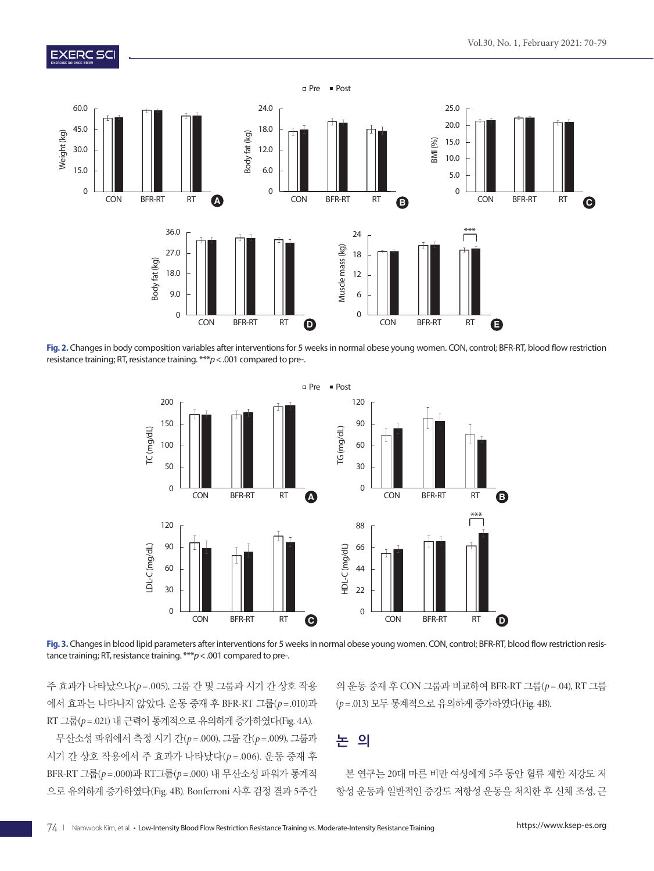## **EXERC SCI**



**Fig. 2.** Changes in body composition variables after interventions for 5 weeks in normal obese young women. CON, control; BFR-RT, blood flow restriction resistance training; RT, resistance training. \*\*\**p*<.001 compared to pre-.



**Fig. 3.** Changes in blood lipid parameters after interventions for 5 weeks in normal obese young women. CON, control; BFR-RT, blood flow restriction resistance training; RT, resistance training. \*\*\**p*<.001 compared to pre-.

주 효과가 나타났으나(*p* =.005), 그룹 간 및 그룹과 시기 간 상호 작용 에서 효과는 나타나지 않았다. 운동 중재 후 BFR-RT 그룹(*p* =.010)과 RT 그룹(*p*=.021) 내 근력이 통계적으로 유의하게 증가하였다(Fig. 4A).

무산소성 파워에서 측정 시기 간(*p* =.000), 그룹 간(*p* =.009), 그룹과 시기 간 상호 작용에서 주 효과가 나타났다(*p* =.006). 운동 중재 후 BFR-RT 그룹(*p* =.000)과 RT그룹(*p* =.000) 내 무산소성 파워가 통계적 으로 유의하게 증가하였다(Fig. 4B). Bonferroni 사후 검정 결과 5주간

의 운동 중재 후 CON 그룹과 비교하여 BFR-RT 그룹(*p* =.04), RT 그룹 (*p*=.013) 모두 통계적으로 유의하게 증가하였다(Fig. 4B).

# 논 의

본 연구는 20대 마른 비만 여성에게 5주 동안 혈류 제한 저강도 저 항성 운동과 일반적인 중강도 저항성 운동을 처치한 후 신체 조성, 근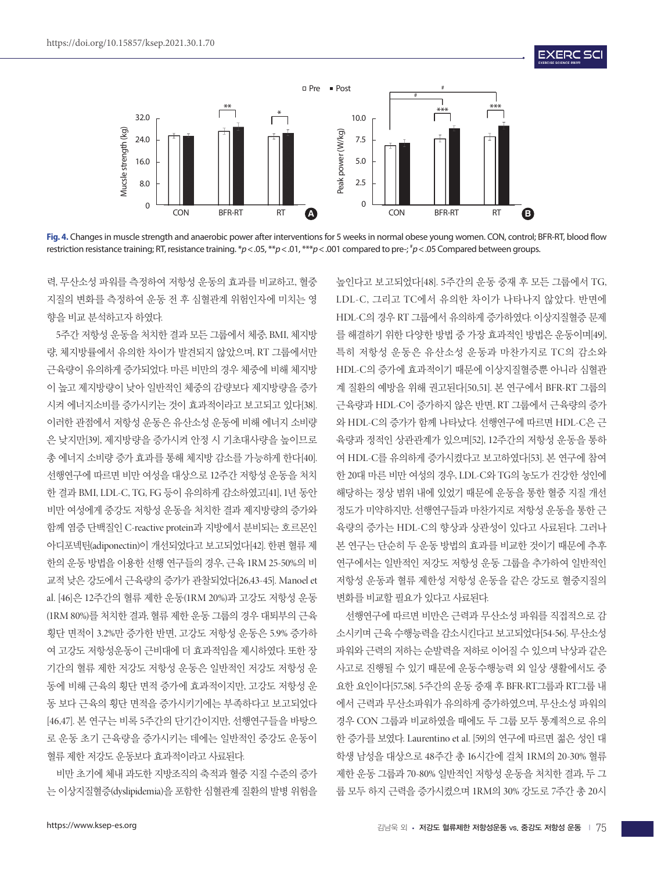

**Fig. 4.** Changes in muscle strength and anaerobic power after interventions for 5 weeks in normal obese young women. CON, control; BFR-RT, blood flow restriction resistance training; RT, resistance training. \**p*<.05, \*\**p*<.01, \*\*\**p*<.001 compared to pre-; # *p*<.05 Compared between groups.

력, 무산소성 파워를 측정하여 저항성 운동의 효과를 비교하고, 혈중 지질의 변화를 측정하여 운동 전 후 심혈관계 위험인자에 미치는 영 향을 비교 분석하고자 하였다.

5주간 저항성 운동을 처치한 결과 모든 그룹에서 체중, BMI, 체지방 량, 체지방률에서 유의한 차이가 발견되지 않았으며, RT 그룹에서만 근육량이 유의하게 증가되었다. 마른 비만의 경우 체중에 비해 체지방 이 높고 제지방량이 낮아 일반적인 체중의 감량보다 제지방량을 증가 시켜 에너지소비를 증가시키는 것이 효과적이라고 보고되고 있다[38]. 이러한 관점에서 저항성 운동은 유산소성 운동에 비해 에너지 소비량 은 낮지만[39], 제지방량을 증가시켜 안정 시 기초대사량을 높이므로 총 에너지 소비량 증가 효과를 통해 체지방 감소를 가능하게 한다[40]. 선행연구에 따르면 비만 여성을 대상으로 12주간 저항성 운동을 처치 한 결과 BMI, LDL-C, TG, FG 등이 유의하게 감소하였고[41], 1년 동안 비만 여성에게 중강도 저항성 운동을 처치한 결과 제지방량의 증가와 함께 염증 단백질인 C-reactive protein과 지방에서 분비되는 호르몬인 아디포넥틴(adiponectin)이 개선되었다고 보고되었다[42]. 한편 혈류 제 한의 운동 방법을 이용한 선행 연구들의 경우, 근육 1RM 25-50%의 비 교적 낮은 강도에서 근육량의 증가가 관찰되었다[26,43-45]. Manoel et al. [46]은 12주간의 혈류 제한 운동(1RM 20%)과 고강도 저항성 운동 (1RM 80%)를 처치한 결과, 혈류 제한 운동 그룹의 경우 대퇴부의 근육 횡단 면적이 3.2%만 증가한 반면, 고강도 저항성 운동은 5.9% 증가하 여 고강도 저항성운동이 근비대에 더 효과적임을 제시하였다. 또한 장 기간의 혈류 제한 저강도 저항성 운동은 일반적인 저강도 저항성 운 동에 비해 근육의 횡단 면적 증가에 효과적이지만, 고강도 저항성 운 동 보다 근육의 횡단 면적을 증가시키기에는 부족하다고 보고되었다 [46,47]. 본 연구는 비록 5주간의 단기간이지만, 선행연구들을 바탕으 로 운동 초기 근육량을 증가시키는 데에는 일반적인 중강도 운동이 혈류 제한 저강도 운동보다 효과적이라고 사료된다.

비만 초기에 체내 과도한 지방조직의 축적과 혈중 지질 수준의 증가 는 이상지질혈증(dyslipidemia)을 포함한 심혈관계 질환의 발병 위험을

높인다고 보고되었다[48]. 5주간의 운동 중재 후 모든 그룹에서 TG, LDL-C, 그리고 TC에서 유의한 차이가 나타나지 않았다. 반면에 HDL-C의 경우 RT 그룹에서 유의하게 증가하였다. 이상지질혈증 문제 를 해결하기 위한 다양한 방법 중 가장 효과적인 방법은 운동이며[49], 특히 저항성 운동은 유산소성 운동과 마찬가지로 TC의 감소와 HDL-C의 증가에 효과적이기 때문에 이상지질혈증뿐 아니라 심혈관 계 질환의 예방을 위해 권고된다[50,51]. 본 연구에서 BFR-RT 그룹의 근육량과 HDL-C이 증가하지 않은 반면, RT 그룹에서 근육량의 증가 와 HDL-C의 증가가 함께 나타났다. 선행연구에 따르면 HDL-C은 근 육량과 정적인 상관관계가 있으며[52], 12주간의 저항성 운동을 통하 여 HDL-C를 유의하게 증가시켰다고 보고하였다[53]. 본 연구에 참여 한 20대 마른 비만 여성의 경우, LDL-C와 TG의 농도가 건강한 성인에 해당하는 정상 범위 내에 있었기 때문에 운동을 통한 혈중 지질 개선 정도가 미약하지만, 선행연구들과 마찬가지로 저항성 운동을 통한 근 육량의 증가는 HDL-C의 향상과 상관성이 있다고 사료된다. 그러나 본 연구는 단순히 두 운동 방법의 효과를 비교한 것이기 때문에 추후 연구에서는 일반적인 저강도 저항성 운동 그룹을 추가하여 일반적인 저항성 운동과 혈류 제한성 저항성 운동을 같은 강도로 혈중지질의 변화를 비교할 필요가 있다고 사료된다.

**EXERC SC** 

선행연구에 따르면 비만은 근력과 무산소성 파워를 직접적으로 감 소시키며 근육 수행능력을 감소시킨다고 보고되었다[54-56]. 무산소성 파워와 근력의 저하는 순발력을 저하로 이어질 수 있으며 낙상과 같은 사고로 진행될 수 있기 때문에 운동수행능력 외 일상 생활에서도 중 요한 요인이다[57,58]. 5주간의 운동 중재 후 BFR-RT그룹과 RT그룹 내 에서 근력과 무산소파워가 유의하게 증가하였으며, 무산소성 파워의 경우 CON 그룹과 비교하였을 때에도 두 그룹 모두 통계적으로 유의 한 증가를 보였다. Laurentino et al. [59]의 연구에 따르면 젊은 성인 대 학생 남성을 대상으로 48주간 총 16시간에 걸쳐 1RM의 20-30% 혈류 제한 운동 그룹과 70-80% 일반적인 저항성 운동을 처치한 결과, 두 그 룹 모두 하지 근력을 증가시켰으며 1RM의 30% 강도로 7주간 총 20시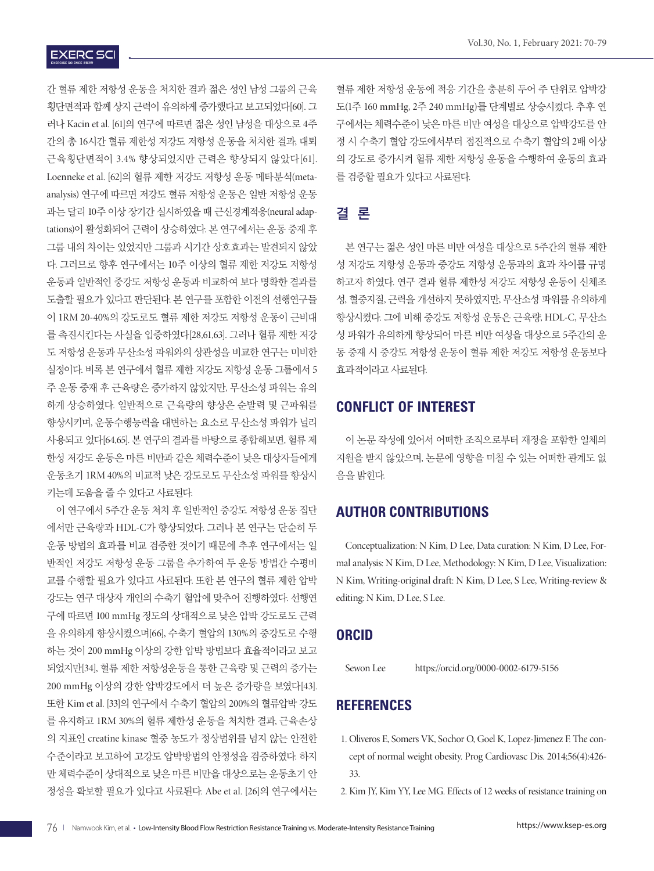# **EXERC SCI**

간 혈류 제한 저항성 운동을 처치한 결과 젊은 성인 남성 그룹의 근육 횡단면적과 함께 상지 근력이 유의하게 증가했다고 보고되었다[60]. 그 러나 Kacin et al. [61]의 연구에 따르면 젊은 성인 남성을 대상으로 4주 간의 총 16시간 혈류 제한성 저강도 저항성 운동을 처치한 결과, 대퇴 근육횡단면적이 3.4% 향상되었지만 근력은 향상되지 않았다[61]. Loenneke et al. [62]의 혈류 제한 저강도 저항성 운동 메타분석(metaanalysis) 연구에 따르면 저강도 혈류 저항성 운동은 일반 저항성 운동 과는 달리 10주 이상 장기간 실시하였을 때 근신경계적응(neural adaptations)이 활성화되어 근력이 상승하였다. 본 연구에서는 운동 중재 후 그룹 내의 차이는 있었지만 그룹과 시기간 상호효과는 발견되지 않았 다. 그러므로 향후 연구에서는 10주 이상의 혈류 제한 저강도 저항성 운동과 일반적인 중강도 저항성 운동과 비교하여 보다 명확한 결과를 도출할 필요가 있다고 판단된다. 본 연구를 포함한 이전의 선행연구들 이 1RM 20-40%의 강도로도 혈류 제한 저강도 저항성 운동이 근비대 를 촉진시킨다는 사실을 입증하였다[28,61,63]. 그러나 혈류 제한 저강 도 저항성 운동과 무산소성 파워와의 상관성을 비교한 연구는 미비한 실정이다. 비록 본 연구에서 혈류 제한 저강도 저항성 운동 그룹에서 5 주 운동 중재 후 근육량은 증가하지 않았지만, 무산소성 파워는 유의 하게 상승하였다. 일반적으로 근육량의 향상은 순발력 및 근파워를 향상시키며, 운동수행능력을 대변하는 요소로 무산소성 파워가 널리 사용되고 있다[64,65]. 본 연구의 결과를 바탕으로 종합해보면, 혈류 제 한성 저강도 운동은 마른 비만과 같은 체력수준이 낮은 대상자들에게 운동초기 1RM 40%의 비교적 낮은 강도로도 무산소성 파워를 향상시 키는데 도움을 줄 수 있다고 사료된다.

이 연구에서 5주간 운동 처치 후 일반적인 중강도 저항성 운동 집단 에서만 근육량과 HDL-C가 향상되었다. 그러나 본 연구는 단순히 두 운동 방법의 효과를 비교 검증한 것이기 때문에 추후 연구에서는 일 반적인 저강도 저항성 운동 그룹을 추가하여 두 운동 방법간 수평비 교를 수행할 필요가 있다고 사료된다. 또한 본 연구의 혈류 제한 압박 강도는 연구 대상자 개인의 수축기 혈압에 맞추어 진행하였다. 선행연 구에 따르면 100 mmHg 정도의 상대적으로 낮은 압박 강도로도 근력 을 유의하게 향상시켰으며[66], 수축기 혈압의 130%의 중강도로 수행 하는 것이 200 mmHg 이상의 강한 압박 방법보다 효율적이라고 보고 되었지만[34], 혈류 제한 저항성운동을 통한 근육량 및 근력의 증가는 200 mmHg 이상의 강한 압박강도에서 더 높은 증가량을 보였다[43]. 또한 Kim et al. [33]의 연구에서 수축기 혈압의 200%의 혈류압박 강도 를 유지하고 1RM 30%의 혈류 제한성 운동을 처치한 결과, 근육손상 의 지표인 creatine kinase 혈중 농도가 정상범위를 넘지 않는 안전한 수준이라고 보고하여 고강도 압박방법의 안정성을 검증하였다. 하지 만 체력수준이 상대적으로 낮은 마른 비만을 대상으로는 운동초기 안 정성을 확보할 필요가 있다고 사료된다. Abe et al. [26]의 연구에서는

혈류 제한 저항성 운동에 적응 기간을 충분히 두어 주 단위로 압박강 도(1주 160 mmHg, 2주 240 mmHg)를 단계별로 상승시켰다. 추후 연 구에서는 체력수준이 낮은 마른 비만 여성을 대상으로 압박강도를 안 정 시 수축기 혈압 강도에서부터 점진적으로 수축기 혈압의 2배 이상 의 강도로 증가시켜 혈류 제한 저항성 운동을 수행하여 운동의 효과 를 검증할 필요가 있다고 사료된다.

# 결 론

본 연구는 젊은 성인 마른 비만 여성을 대상으로 5주간의 혈류 제한 성 저강도 저항성 운동과 중강도 저항성 운동과의 효과 차이를 규명 하고자 하였다. 연구 결과 혈류 제한성 저강도 저항성 운동이 신체조 성, 혈중지질, 근력을 개선하지 못하였지만, 무산소성 파워를 유의하게 향상시켰다. 그에 비해 중강도 저항성 운동은 근육량, HDL-C, 무산소 성 파워가 유의하게 향상되어 마른 비만 여성을 대상으로 5주간의 운 동 중재 시 중강도 저항성 운동이 혈류 제한 저강도 저항성 운동보다 효과적이라고 사료된다.

## **CONFLICT OF INTEREST**

이 논문 작성에 있어서 어떠한 조직으로부터 재정을 포함한 일체의 지원을 받지 않았으며, 논문에 영향을 미칠 수 있는 어떠한 관계도 없 음을 밝힌다.

# **AUTHOR CONTRIBUTIONS**

Conceptualization: N Kim, D Lee, Data curation: N Kim, D Lee, Formal analysis: N Kim, D Lee, Methodology: N Kim, D Lee, Visualization: N Kim, Writing-original draft: N Kim, D Lee, S Lee, Writing-review & editing: N Kim, D Lee, S Lee.

## **ORCID**

Sewon Lee https://orcid.org/0000-0002-6179-5156

# **REFERENCES**

- 1. Oliveros E, Somers VK, Sochor O, Goel K, Lopez-Jimenez F. The concept of normal weight obesity. Prog Cardiovasc Dis. 2014;56(4):426- 33.
- 2. Kim JY, Kim YY, Lee MG. Effects of 12 weeks of resistance training on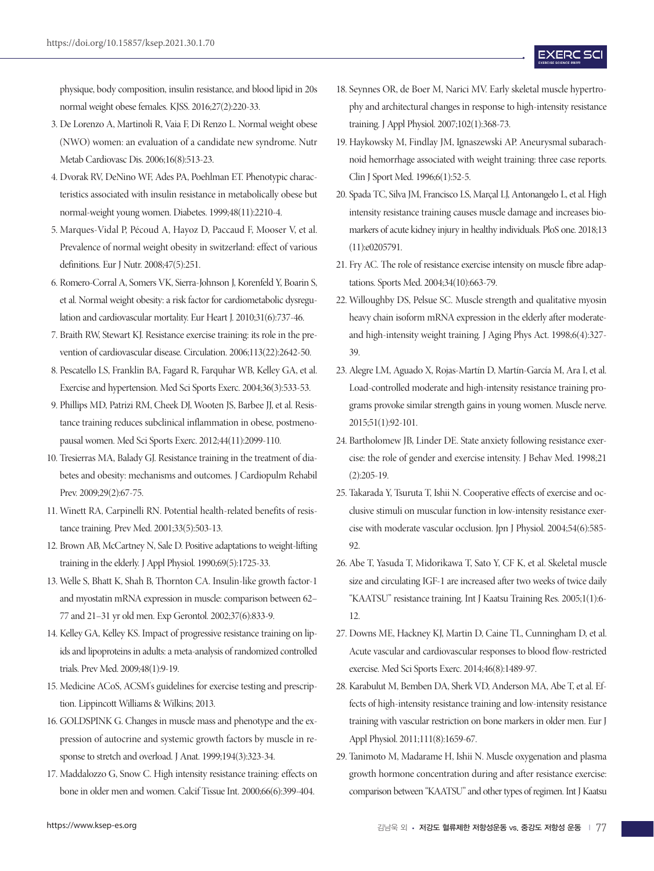physique, body composition, insulin resistance, and blood lipid in 20s normal weight obese females. KJSS. 2016;27(2):220-33.

- 3. De Lorenzo A, Martinoli R, Vaia F, Di Renzo L. Normal weight obese (NWO) women: an evaluation of a candidate new syndrome. Nutr Metab Cardiovasc Dis. 2006;16(8):513-23.
- 4. Dvorak RV, DeNino WF, Ades PA, Poehlman ET. Phenotypic characteristics associated with insulin resistance in metabolically obese but normal-weight young women. Diabetes. 1999;48(11):2210-4.
- 5. Marques-Vidal P, Pécoud A, Hayoz D, Paccaud F, Mooser V, et al. Prevalence of normal weight obesity in switzerland: effect of various definitions. Eur J Nutr. 2008;47(5):251.
- 6. Romero-Corral A, Somers VK, Sierra-Johnson J, Korenfeld Y, Boarin S, et al. Normal weight obesity: a risk factor for cardiometabolic dysregulation and cardiovascular mortality. Eur Heart J. 2010;31(6):737-46.
- 7. Braith RW, Stewart KJ. Resistance exercise training: its role in the prevention of cardiovascular disease. Circulation. 2006;113(22):2642-50.
- 8. Pescatello LS, Franklin BA, Fagard R, Farquhar WB, Kelley GA, et al. Exercise and hypertension. Med Sci Sports Exerc. 2004;36(3):533-53.
- 9. Phillips MD, Patrizi RM, Cheek DJ, Wooten JS, Barbee JJ, et al. Resistance training reduces subclinical inflammation in obese, postmenopausal women. Med Sci Sports Exerc. 2012;44(11):2099-110.
- 10. Tresierras MA, Balady GJ. Resistance training in the treatment of diabetes and obesity: mechanisms and outcomes. J Cardiopulm Rehabil Prev. 2009;29(2):67-75.
- 11. Winett RA, Carpinelli RN. Potential health-related benefits of resistance training. Prev Med. 2001;33(5):503-13.
- 12. Brown AB, McCartney N, Sale D. Positive adaptations to weight-lifting training in the elderly. J Appl Physiol. 1990;69(5):1725-33.
- 13. Welle S, Bhatt K, Shah B, Thornton CA. Insulin-like growth factor-1 and myostatin mRNA expression in muscle: comparison between 62– 77 and 21–31 yr old men. Exp Gerontol. 2002;37(6):833-9.
- 14. Kelley GA, Kelley KS. Impact of progressive resistance training on lipids and lipoproteins in adults: a meta-analysis of randomized controlled trials. Prev Med. 2009;48(1):9-19.
- 15. Medicine ACoS, ACSM's guidelines for exercise testing and prescription. Lippincott Williams & Wilkins; 2013.
- 16. GOLDSPINK G. Changes in muscle mass and phenotype and the expression of autocrine and systemic growth factors by muscle in response to stretch and overload. J Anat. 1999;194(3):323-34.
- 17. Maddalozzo G, Snow C. High intensity resistance training: effects on bone in older men and women. Calcif Tissue Int. 2000;66(6):399-404.

- 18. Seynnes OR, de Boer M, Narici MV. Early skeletal muscle hypertrophy and architectural changes in response to high-intensity resistance training. J Appl Physiol. 2007;102(1):368-73.
- 19. Haykowsky M, Findlay JM, Ignaszewski AP. Aneurysmal subarachnoid hemorrhage associated with weight training: three case reports. Clin J Sport Med. 1996;6(1):52-5.
- 20. Spada TC, Silva JM, Francisco LS, Marçal LJ, Antonangelo L, et al. High intensity resistance training causes muscle damage and increases biomarkers of acute kidney injury in healthy individuals. PloS one. 2018;13 (11):e0205791.
- 21. Fry AC. The role of resistance exercise intensity on muscle fibre adaptations. Sports Med. 2004;34(10):663-79.
- 22. Willoughby DS, Pelsue SC. Muscle strength and qualitative myosin heavy chain isoform mRNA expression in the elderly after moderateand high-intensity weight training. J Aging Phys Act. 1998;6(4):327- 39.
- 23. Alegre LM, Aguado X, Rojas-Martín D, Martín-García M, Ara I, et al. Load-controlled moderate and high-intensity resistance training programs provoke similar strength gains in young women. Muscle nerve. 2015;51(1):92-101.
- 24. Bartholomew JB, Linder DE. State anxiety following resistance exercise: the role of gender and exercise intensity. J Behav Med. 1998;21 (2):205-19.
- 25. Takarada Y, Tsuruta T, Ishii N. Cooperative effects of exercise and occlusive stimuli on muscular function in low-intensity resistance exercise with moderate vascular occlusion. Jpn J Physiol. 2004;54(6):585- 92.
- 26. Abe T, Yasuda T, Midorikawa T, Sato Y, CF K, et al. Skeletal muscle size and circulating IGF-1 are increased after two weeks of twice daily "KAATSU" resistance training. Int J Kaatsu Training Res. 2005;1(1):6- 12.
- 27. Downs ME, Hackney KJ, Martin D, Caine TL, Cunningham D, et al. Acute vascular and cardiovascular responses to blood flow-restricted exercise. Med Sci Sports Exerc. 2014;46(8):1489-97.
- 28. Karabulut M, Bemben DA, Sherk VD, Anderson MA, Abe T, et al. Effects of high-intensity resistance training and low-intensity resistance training with vascular restriction on bone markers in older men. Eur J Appl Physiol. 2011;111(8):1659-67.
- 29. Tanimoto M, Madarame H, Ishii N. Muscle oxygenation and plasma growth hormone concentration during and after resistance exercise: comparison between "KAATSU" and other types of regimen. Int J Kaatsu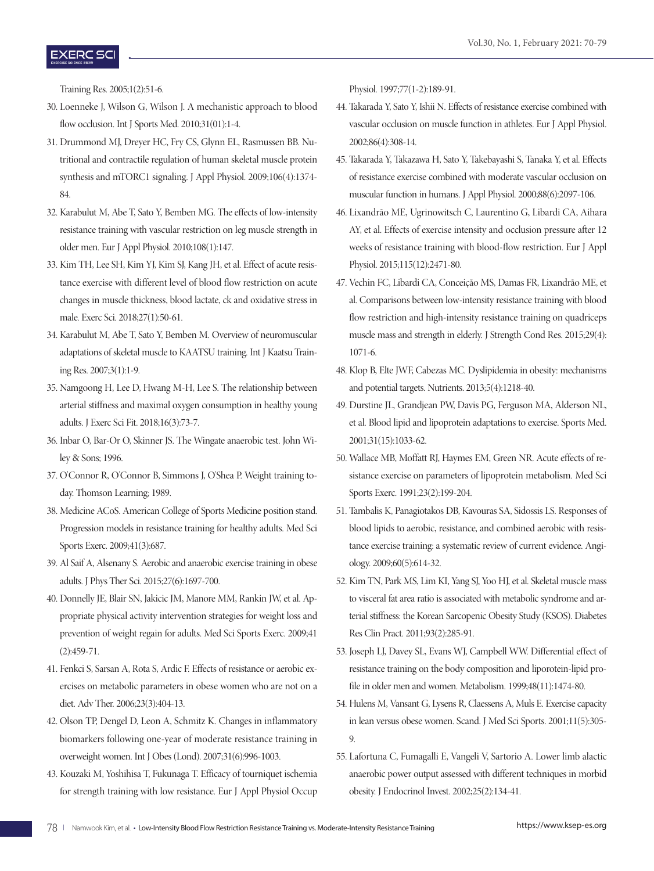## **EXERC SC**

Training Res. 2005;1(2):51-6.

- 30. Loenneke J, Wilson G, Wilson J. A mechanistic approach to blood flow occlusion. Int J Sports Med. 2010;31(01):1-4.
- 31. Drummond MJ, Dreyer HC, Fry CS, Glynn EL, Rasmussen BB. Nutritional and contractile regulation of human skeletal muscle protein synthesis and mTORC1 signaling. J Appl Physiol. 2009;106(4):1374- 84.
- 32. Karabulut M, Abe T, Sato Y, Bemben MG. The effects of low-intensity resistance training with vascular restriction on leg muscle strength in older men. Eur J Appl Physiol. 2010;108(1):147.
- 33. Kim TH, Lee SH, Kim YJ, Kim SJ, Kang JH, et al. Effect of acute resistance exercise with different level of blood flow restriction on acute changes in muscle thickness, blood lactate, ck and oxidative stress in male. Exerc Sci. 2018;27(1):50-61.
- 34. Karabulut M, Abe T, Sato Y, Bemben M. Overview of neuromuscular adaptations of skeletal muscle to KAATSU training. Int J Kaatsu Training Res. 2007;3(1):1-9.
- 35. Namgoong H, Lee D, Hwang M-H, Lee S. The relationship between arterial stiffness and maximal oxygen consumption in healthy young adults. J Exerc Sci Fit. 2018;16(3):73-7.
- 36. Inbar O, Bar-Or O, Skinner JS. The Wingate anaerobic test. John Wiley & Sons; 1996.
- 37. O'Connor R, O'Connor B, Simmons J, O'Shea P. Weight training today. Thomson Learning; 1989.
- 38. Medicine ACoS. American College of Sports Medicine position stand. Progression models in resistance training for healthy adults. Med Sci Sports Exerc. 2009;41(3):687.
- 39. Al Saif A, Alsenany S. Aerobic and anaerobic exercise training in obese adults. J Phys Ther Sci. 2015;27(6):1697-700.
- 40. Donnelly JE, Blair SN, Jakicic JM, Manore MM, Rankin JW, et al. Appropriate physical activity intervention strategies for weight loss and prevention of weight regain for adults. Med Sci Sports Exerc. 2009;41 (2):459-71.
- 41. Fenkci S, Sarsan A, Rota S, Ardic F. Effects of resistance or aerobic exercises on metabolic parameters in obese women who are not on a diet. Adv Ther. 2006;23(3):404-13.
- 42. Olson TP, Dengel D, Leon A, Schmitz K. Changes in inflammatory biomarkers following one-year of moderate resistance training in overweight women. Int J Obes (Lond). 2007;31(6):996-1003.
- 43. Kouzaki M, Yoshihisa T, Fukunaga T. Efficacy of tourniquet ischemia for strength training with low resistance. Eur J Appl Physiol Occup

Physiol. 1997;77(1-2):189-91.

- 44. Takarada Y, Sato Y, Ishii N. Effects of resistance exercise combined with vascular occlusion on muscle function in athletes. Eur J Appl Physiol. 2002;86(4):308-14.
- 45. Takarada Y, Takazawa H, Sato Y, Takebayashi S, Tanaka Y, et al. Effects of resistance exercise combined with moderate vascular occlusion on muscular function in humans. J Appl Physiol. 2000;88(6):2097-106.
- 46. Lixandrão ME, Ugrinowitsch C, Laurentino G, Libardi CA, Aihara AY, et al. Effects of exercise intensity and occlusion pressure after 12 weeks of resistance training with blood-flow restriction. Eur J Appl Physiol. 2015;115(12):2471-80.
- 47. Vechin FC, Libardi CA, Conceição MS, Damas FR, Lixandrão ME, et al. Comparisons between low-intensity resistance training with blood flow restriction and high-intensity resistance training on quadriceps muscle mass and strength in elderly. J Strength Cond Res. 2015;29(4): 1071-6.
- 48. Klop B, Elte JWF, Cabezas MC. Dyslipidemia in obesity: mechanisms and potential targets. Nutrients. 2013;5(4):1218-40.
- 49. Durstine JL, Grandjean PW, Davis PG, Ferguson MA, Alderson NL, et al. Blood lipid and lipoprotein adaptations to exercise. Sports Med. 2001;31(15):1033-62.
- 50. Wallace MB, Moffatt RJ, Haymes EM, Green NR. Acute effects of resistance exercise on parameters of lipoprotein metabolism. Med Sci Sports Exerc. 1991;23(2):199-204.
- 51. Tambalis K, Panagiotakos DB, Kavouras SA, Sidossis LS. Responses of blood lipids to aerobic, resistance, and combined aerobic with resistance exercise training: a systematic review of current evidence. Angiology. 2009;60(5):614-32.
- 52. Kim TN, Park MS, Lim KI, Yang SJ, Yoo HJ, et al. Skeletal muscle mass to visceral fat area ratio is associated with metabolic syndrome and arterial stiffness: the Korean Sarcopenic Obesity Study (KSOS). Diabetes Res Clin Pract. 2011;93(2):285-91.
- 53. Joseph LJ, Davey SL, Evans WJ, Campbell WW. Differential effect of resistance training on the body composition and liporotein-lipid profile in older men and women. Metabolism. 1999;48(11):1474-80.
- 54. Hulens M, Vansant G, Lysens R, Claessens A, Muls E. Exercise capacity in lean versus obese women. Scand. J Med Sci Sports. 2001;11(5):305- 9.
- 55. Lafortuna C, Fumagalli E, Vangeli V, Sartorio A. Lower limb alactic anaerobic power output assessed with different techniques in morbid obesity. J Endocrinol Invest. 2002;25(2):134-41.